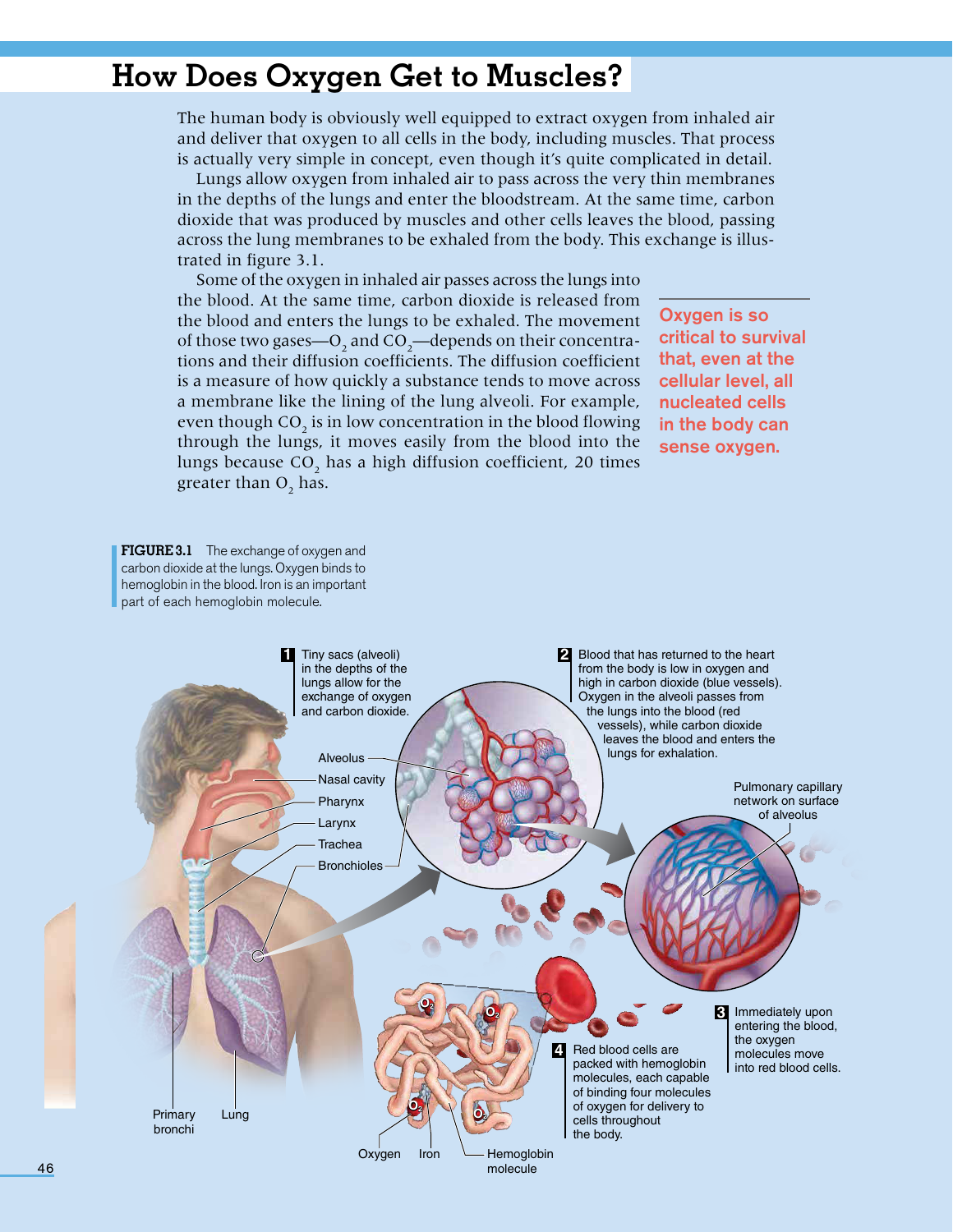## **How Does Oxygen Get to Muscles?**

The human body is obviously well equipped to extract oxygen from inhaled air and deliver that oxygen to all cells in the body, including muscles. That process is actually very simple in concept, even though it's quite complicated in detail.

Lungs allow oxygen from inhaled air to pass across the very thin membranes in the depths of the lungs and enter the bloodstream. At the same time, carbon dioxide that was produced by muscles and other cells leaves the blood, passing across the lung membranes to be exhaled from the body. This exchange is illustrated in figure 3.1.

Some of the oxygen in inhaled air passes across the lungs into the blood. At the same time, carbon dioxide is released from the blood and enters the lungs to be exhaled. The movement of those two gases—O<sub>2</sub> and CO<sub>2</sub>—depends on their concentrations and their diffusion coefficients. The diffusion coefficient is a measure of how quickly a substance tends to move across a membrane like the lining of the lung alveoli. For example, even though  $CO_2$  is in low concentration in the blood flowing through the lungs, it moves easily from the blood into the lungs because  $\text{CO}_2$  has a high diffusion coefficient, 20 times greater than  $O_2$  has.

Oxygen is so critical to survival that, even at the cellular level, all nucleated cells in the body can sense oxygen.